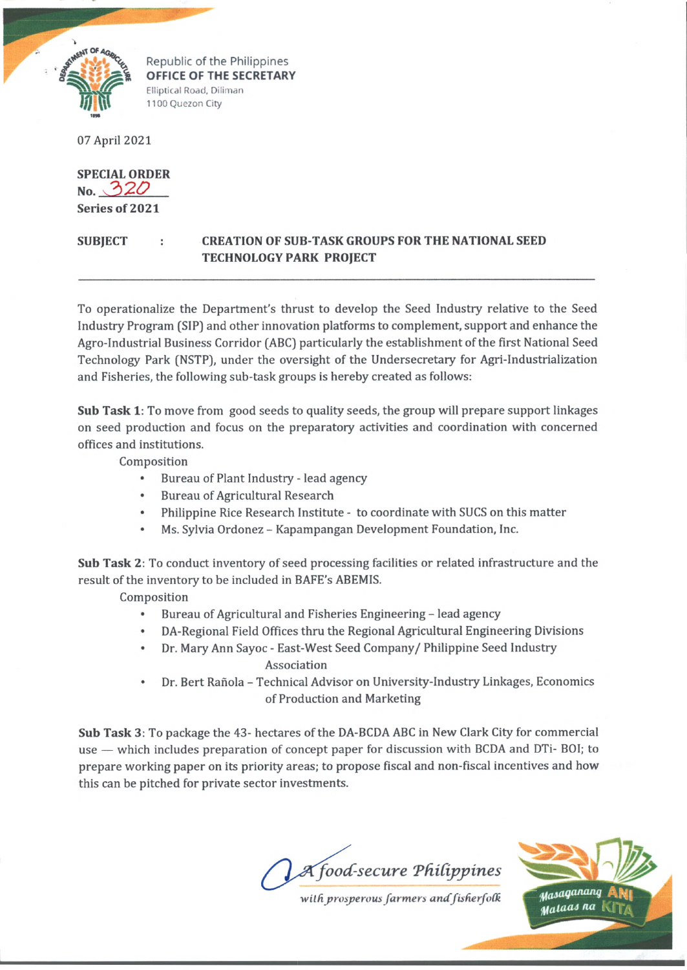

Republic of the Philippines **OFFICE OF THE SECRET/ SECRETARY Fllinrir^l Rn^rl Dilim an** Elliptical Road, Diliman **[Hi** 1100 Quezon City

07 April 2021

**SPECIAL ORDER No. Series of 2021**

## **SUBJECT : CREATION OF SUB-TASK GROUPS FOR THE NATIONAL SEED TECHNOLOGY PARK PROJECT**

To operationalize the Department's thrust to develop the Seed Industry relative to the Seed Industry Program (SIP) and other innovation platforms to complement, support and enhance the Agro-Industrial Business Corridor (ABC) particularly the establishment of the first National Seed Technology Park (NSTP), under the oversight of the Undersecretary for Agri-Industrialization and Fisheries, the following sub-task groups is hereby created as follows:

**Sub Task 1:** To move from good seeds to quality seeds, the group will prepare support linkages on seed production and focus on the preparatory activities and coordination with concerned offices and institutions.

Composition

- Bureau of Plant Industry lead agency
- Bureau of Agricultural Research
- Philippine Rice Research Institute to coordinate with SUCS on this matter
- Ms. Sylvia Ordonez Kapampangan Development Foundation, Inc.

**Sub Task 2:** To conduct inventory of seed processing facilities or related infrastructure and the result of the inventory to be included in BAFE's ABEMIS.

Composition

- Bureau of Agricultural and Fisheries Engineering lead agency
- DA-Regional Field Offices thru the Regional Agricultural Engineering Divisions
- Dr. Mary Ann Sayoc East-West Seed Company/ Philippine Seed Industry Association
- Dr. Bert Rañola Technical Advisor on University-Industry Linkages, Economics of Production and Marketing

**Sub Task** 3: To package the 43- hectares of the DA-BCDA ABC in New Clark City for commercial use — which includes preparation of concept paper for discussion with BCDA and DTi- BOI; to prepare working paper on its priority areas; to propose fiscal and non-fiscal incentives and how this can be pitched for private sector investments.

A food-secure Philippines